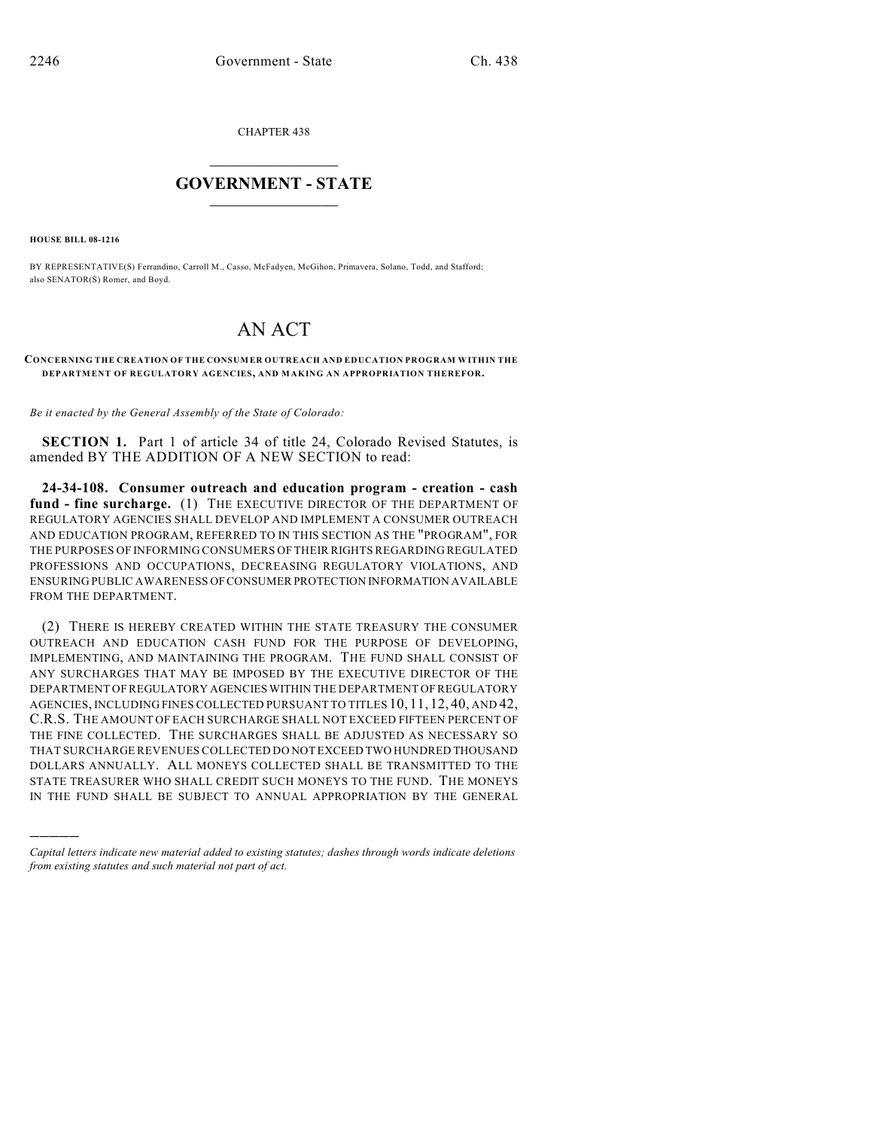CHAPTER 438

## $\mathcal{L}_\text{max}$  . The set of the set of the set of the set of the set of the set of the set of the set of the set of the set of the set of the set of the set of the set of the set of the set of the set of the set of the set **GOVERNMENT - STATE**  $\_$   $\_$   $\_$   $\_$   $\_$   $\_$   $\_$   $\_$   $\_$

**HOUSE BILL 08-1216**

)))))

BY REPRESENTATIVE(S) Ferrandino, Carroll M., Casso, McFadyen, McGihon, Primavera, Solano, Todd, and Stafford; also SENATOR(S) Romer, and Boyd.

## AN ACT

## **CONCERNING THE CREATION OF THE CONSUMER OUTREACH AND EDUCATION PROGRAM WITHIN THE DEPARTMENT OF REGULATORY AGENCIES, AND MAKING AN APPROPRIATION THEREFOR.**

*Be it enacted by the General Assembly of the State of Colorado:*

**SECTION 1.** Part 1 of article 34 of title 24, Colorado Revised Statutes, is amended BY THE ADDITION OF A NEW SECTION to read:

**24-34-108. Consumer outreach and education program - creation - cash fund - fine surcharge.** (1) THE EXECUTIVE DIRECTOR OF THE DEPARTMENT OF REGULATORY AGENCIES SHALL DEVELOP AND IMPLEMENT A CONSUMER OUTREACH AND EDUCATION PROGRAM, REFERRED TO IN THIS SECTION AS THE "PROGRAM", FOR THE PURPOSES OF INFORMING CONSUMERS OF THEIR RIGHTS REGARDING REGULATED PROFESSIONS AND OCCUPATIONS, DECREASING REGULATORY VIOLATIONS, AND ENSURING PUBLIC AWARENESS OF CONSUMER PROTECTION INFORMATION AVAILABLE FROM THE DEPARTMENT.

(2) THERE IS HEREBY CREATED WITHIN THE STATE TREASURY THE CONSUMER OUTREACH AND EDUCATION CASH FUND FOR THE PURPOSE OF DEVELOPING, IMPLEMENTING, AND MAINTAINING THE PROGRAM. THE FUND SHALL CONSIST OF ANY SURCHARGES THAT MAY BE IMPOSED BY THE EXECUTIVE DIRECTOR OF THE DEPARTMENT OF REGULATORY AGENCIES WITHIN THE DEPARTMENT OF REGULATORY AGENCIES, INCLUDING FINES COLLECTED PURSUANT TO TITLES 10, 11, 12, 40, AND 42, C.R.S. THE AMOUNT OF EACH SURCHARGE SHALL NOT EXCEED FIFTEEN PERCENT OF THE FINE COLLECTED. THE SURCHARGES SHALL BE ADJUSTED AS NECESSARY SO THAT SURCHARGE REVENUES COLLECTED DO NOT EXCEED TWO HUNDRED THOUSAND DOLLARS ANNUALLY. ALL MONEYS COLLECTED SHALL BE TRANSMITTED TO THE STATE TREASURER WHO SHALL CREDIT SUCH MONEYS TO THE FUND. THE MONEYS IN THE FUND SHALL BE SUBJECT TO ANNUAL APPROPRIATION BY THE GENERAL

*Capital letters indicate new material added to existing statutes; dashes through words indicate deletions from existing statutes and such material not part of act.*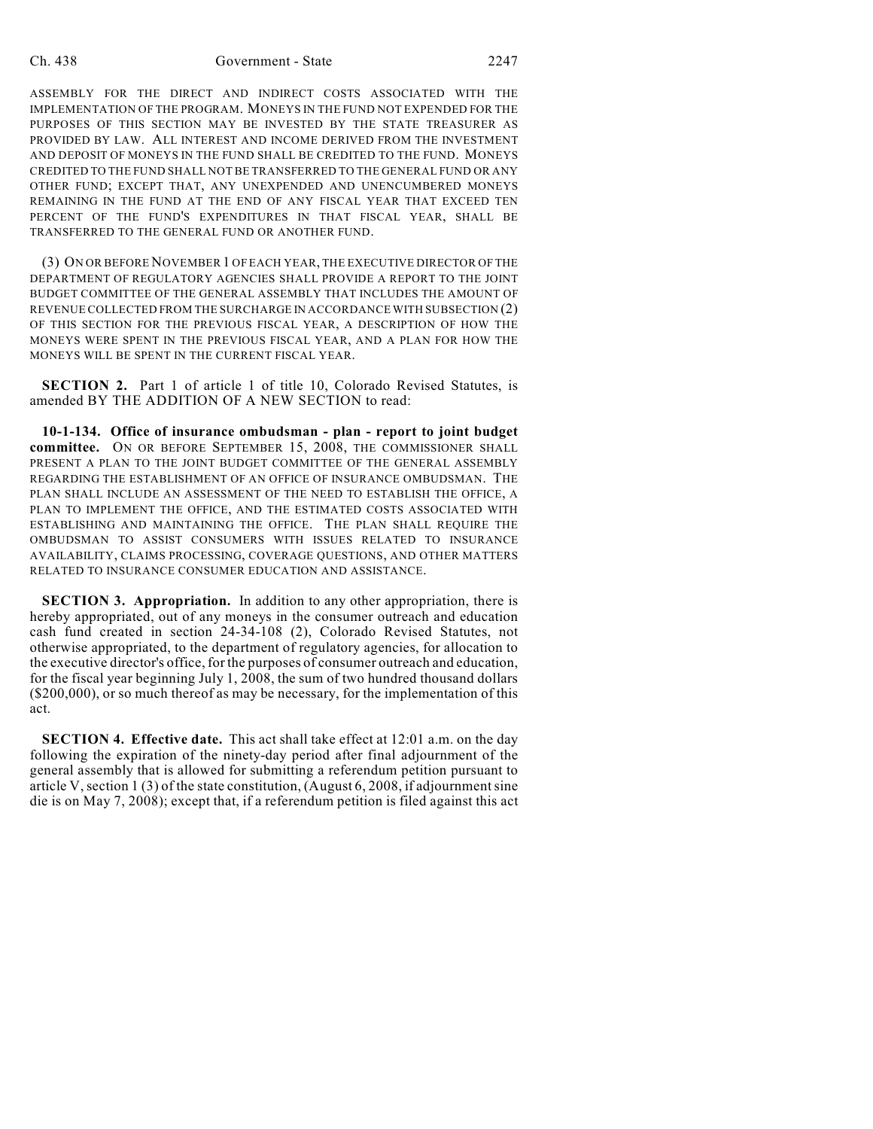ASSEMBLY FOR THE DIRECT AND INDIRECT COSTS ASSOCIATED WITH THE IMPLEMENTATION OF THE PROGRAM. MONEYS IN THE FUND NOT EXPENDED FOR THE PURPOSES OF THIS SECTION MAY BE INVESTED BY THE STATE TREASURER AS PROVIDED BY LAW. ALL INTEREST AND INCOME DERIVED FROM THE INVESTMENT AND DEPOSIT OF MONEYS IN THE FUND SHALL BE CREDITED TO THE FUND. MONEYS CREDITED TO THE FUND SHALL NOT BE TRANSFERRED TO THE GENERAL FUND OR ANY OTHER FUND; EXCEPT THAT, ANY UNEXPENDED AND UNENCUMBERED MONEYS REMAINING IN THE FUND AT THE END OF ANY FISCAL YEAR THAT EXCEED TEN PERCENT OF THE FUND'S EXPENDITURES IN THAT FISCAL YEAR, SHALL BE TRANSFERRED TO THE GENERAL FUND OR ANOTHER FUND.

(3) ON OR BEFORE NOVEMBER 1 OF EACH YEAR, THE EXECUTIVE DIRECTOR OF THE DEPARTMENT OF REGULATORY AGENCIES SHALL PROVIDE A REPORT TO THE JOINT BUDGET COMMITTEE OF THE GENERAL ASSEMBLY THAT INCLUDES THE AMOUNT OF REVENUE COLLECTED FROM THE SURCHARGE IN ACCORDANCE WITH SUBSECTION (2) OF THIS SECTION FOR THE PREVIOUS FISCAL YEAR, A DESCRIPTION OF HOW THE MONEYS WERE SPENT IN THE PREVIOUS FISCAL YEAR, AND A PLAN FOR HOW THE MONEYS WILL BE SPENT IN THE CURRENT FISCAL YEAR.

**SECTION 2.** Part 1 of article 1 of title 10, Colorado Revised Statutes, is amended BY THE ADDITION OF A NEW SECTION to read:

**10-1-134. Office of insurance ombudsman - plan - report to joint budget committee.** ON OR BEFORE SEPTEMBER 15, 2008, THE COMMISSIONER SHALL PRESENT A PLAN TO THE JOINT BUDGET COMMITTEE OF THE GENERAL ASSEMBLY REGARDING THE ESTABLISHMENT OF AN OFFICE OF INSURANCE OMBUDSMAN. THE PLAN SHALL INCLUDE AN ASSESSMENT OF THE NEED TO ESTABLISH THE OFFICE, A PLAN TO IMPLEMENT THE OFFICE, AND THE ESTIMATED COSTS ASSOCIATED WITH ESTABLISHING AND MAINTAINING THE OFFICE. THE PLAN SHALL REQUIRE THE OMBUDSMAN TO ASSIST CONSUMERS WITH ISSUES RELATED TO INSURANCE AVAILABILITY, CLAIMS PROCESSING, COVERAGE QUESTIONS, AND OTHER MATTERS RELATED TO INSURANCE CONSUMER EDUCATION AND ASSISTANCE.

**SECTION 3. Appropriation.** In addition to any other appropriation, there is hereby appropriated, out of any moneys in the consumer outreach and education cash fund created in section 24-34-108 (2), Colorado Revised Statutes, not otherwise appropriated, to the department of regulatory agencies, for allocation to the executive director's office, for the purposes of consumer outreach and education, for the fiscal year beginning July 1, 2008, the sum of two hundred thousand dollars (\$200,000), or so much thereof as may be necessary, for the implementation of this act.

**SECTION 4. Effective date.** This act shall take effect at 12:01 a.m. on the day following the expiration of the ninety-day period after final adjournment of the general assembly that is allowed for submitting a referendum petition pursuant to article V, section 1 (3) of the state constitution, (August 6, 2008, if adjournment sine die is on May 7, 2008); except that, if a referendum petition is filed against this act